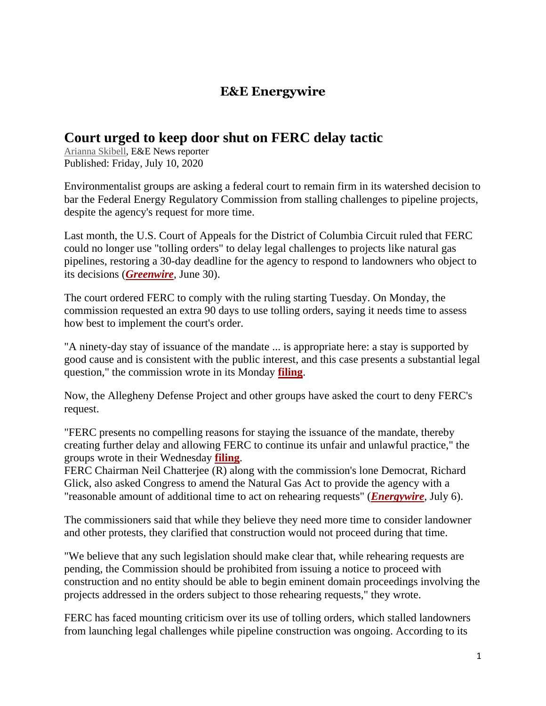## **E&E Energywire**

## **Court urged to keep door shut on FERC delay tactic**

[Arianna Skibell,](https://www.eenews.net/staff/Arianna_Skibell) E&E News reporter Published: Friday, July 10, 2020

Environmentalist groups are asking a federal court to remain firm in its watershed decision to bar the Federal Energy Regulatory Commission from stalling challenges to pipeline projects, despite the agency's request for more time.

Last month, the U.S. Court of Appeals for the District of Columbia Circuit ruled that FERC could no longer use "tolling orders" to delay legal challenges to projects like natural gas pipelines, restoring a 30-day deadline for the agency to respond to landowners who object to its decisions (*[Greenwire](https://www.eenews.net/greenwire/stories/1063481263)*, June 30).

The court ordered FERC to comply with the ruling starting Tuesday. On Monday, the commission requested an extra 90 days to use tolling orders, saying it needs time to assess how best to implement the court's order.

"A ninety-day stay of issuance of the mandate ... is appropriate here: a stay is supported by good cause and is consistent with the public interest, and this case presents a substantial legal question," the commission wrote in its Monday **[filing](https://www.eenews.net/assets/2020/07/10/document_ew_03.pdf)**.

Now, the Allegheny Defense Project and other groups have asked the court to deny FERC's request.

"FERC presents no compelling reasons for staying the issuance of the mandate, thereby creating further delay and allowing FERC to continue its unfair and unlawful practice," the groups wrote in their Wednesday **[filing](https://www.eenews.net/assets/2020/07/10/document_ew_01.pdf)**.

FERC Chairman Neil Chatterjee (R) along with the commission's lone Democrat, Richard Glick, also asked Congress to amend the Natural Gas Act to provide the agency with a "reasonable amount of additional time to act on rehearing requests" (*[Energywire](https://www.eenews.net/energywire/stories/1063512487)*, July 6).

The commissioners said that while they believe they need more time to consider landowner and other protests, they clarified that construction would not proceed during that time.

"We believe that any such legislation should make clear that, while rehearing requests are pending, the Commission should be prohibited from issuing a notice to proceed with construction and no entity should be able to begin eminent domain proceedings involving the projects addressed in the orders subject to those rehearing requests," they wrote.

FERC has faced mounting criticism over its use of tolling orders, which stalled landowners from launching legal challenges while pipeline construction was ongoing. According to its